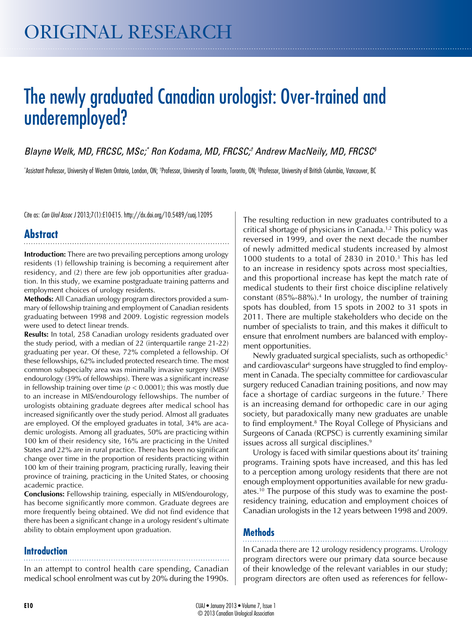# original research

# The newly graduated Canadian urologist: Over-trained and underemployed?

*Blayne Welk, MD, FRCSC, MSc;\* Ron Kodama, MD, FRCSC;† Andrew MacNeily, MD, FRCSC§*

\*Assistant Professor, University of Western Ontario, London, ON; †Professor, University of Toronto, Onconto, ON; §Professor, University of British Columbia, Vancouver, BC

Cite as: *Can Urol Assoc J* 2013;7(1):E10-E15. http://dx.doi.org/10.5489/cuaj.12095

# **Abstract**

**Introduction:** There are two prevailing perceptions among urology residents (1) fellowship training is becoming a requirement after residency, and (2) there are few job opportunities after graduation. In this study, we examine postgraduate training patterns and employment choices of urology residents.

**Methods:** All Canadian urology program directors provided a summary of fellowship training and employment of Canadian residents graduating between 1998 and 2009. Logistic regression models were used to detect linear trends.

**Results:** In total, 258 Canadian urology residents graduated over the study period, with a median of 22 (interquartile range 21-22) graduating per year. Of these, 72% completed a fellowship. Of these fellowships, 62% included protected research time. The most common subspecialty area was minimally invasive surgery (MIS)/ endourology (39% of fellowships). There was a significant increase in fellowship training over time ( $p < 0.0001$ ); this was mostly due to an increase in MIS/endourology fellowships. The number of urologists obtaining graduate degrees after medical school has increased significantly over the study period. Almost all graduates are employed. Of the employed graduates in total, 34% are academic urologists. Among all graduates, 50% are practicing within 100 km of their residency site, 16% are practicing in the United States and 22% are in rural practice. There has been no significant change over time in the proportion of residents practicing within 100 km of their training program, practicing rurally, leaving their province of training, practicing in the United States, or choosing academic practice.

**Conclusions:** Fellowship training, especially in MIS/endourology, has become significantly more common. Graduate degrees are more frequently being obtained. We did not find evidence that there has been a significant change in a urology resident's ultimate ability to obtain employment upon graduation.

### **Introduction**

In an attempt to control health care spending, Canadian medical school enrolment was cut by 20% during the 1990s.

The resulting reduction in new graduates contributed to a critical shortage of physicians in Canada.<sup>1,2</sup> This policy was reversed in 1999, and over the next decade the number of newly admitted medical students increased by almost 1000 students to a total of 2830 in 2010.3 This has led to an increase in residency spots across most specialties, and this proportional increase has kept the match rate of medical students to their first choice discipline relatively constant (85%-88%).4 In urology, the number of training spots has doubled, from 15 spots in 2002 to 31 spots in 2011. There are multiple stakeholders who decide on the number of specialists to train, and this makes it difficult to ensure that enrolment numbers are balanced with employment opportunities.

Newly graduated surgical specialists, such as orthopedic<sup>5</sup> and cardiovascular<sup>6</sup> surgeons have struggled to find employment in Canada. The specialty committee for cardiovascular surgery reduced Canadian training positions, and now may face a shortage of cardiac surgeons in the future.<sup>7</sup> There is an increasing demand for orthopedic care in our aging society, but paradoxically many new graduates are unable to find employment.<sup>8</sup> The Royal College of Physicians and Surgeons of Canada (RCPSC) is currently examining similar issues across all surgical disciplines.<sup>9</sup>

Urology is faced with similar questions about its' training programs. Training spots have increased, and this has led to a perception among urology residents that there are not enough employment opportunities available for new graduates.10 The purpose of this study was to examine the postresidency training, education and employment choices of Canadian urologists in the 12 years between 1998 and 2009.

## **Methods**

In Canada there are 12 urology residency programs. Urology program directors were our primary data source because of their knowledge of the relevant variables in our study; program directors are often used as references for fellow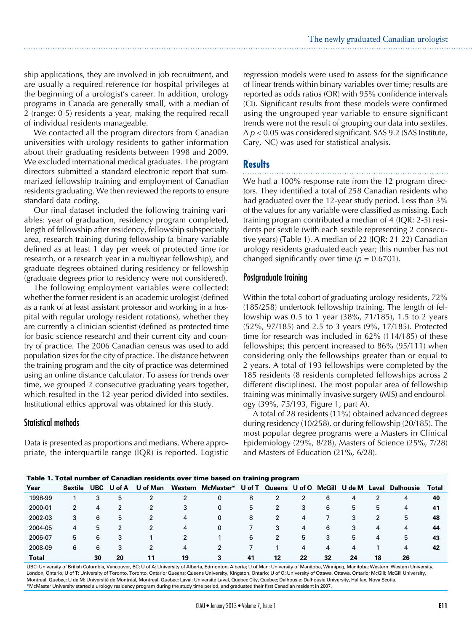ship applications, they are involved in job recruitment, and are usually a required reference for hospital privileges at the beginning of a urologist's career. In addition, urology programs in Canada are generally small, with a median of 2 (range: 0-5) residents a year, making the required recall of individual residents manageable.

We contacted all the program directors from Canadian universities with urology residents to gather information about their graduating residents between 1998 and 2009. We excluded international medical graduates. The program directors submitted a standard electronic report that summarized fellowship training and employment of Canadian residents graduating. We then reviewed the reports to ensure standard data coding.

Our final dataset included the following training variables: year of graduation, residency program completed, length of fellowship after residency, fellowship subspecialty area, research training during fellowship (a binary variable defined as at least 1 day per week of protected time for research, or a research year in a multiyear fellowship), and graduate degrees obtained during residency or fellowship (graduate degrees prior to residency were not considered).

The following employment variables were collected: whether the former resident is an academic urologist (defined as a rank of at least assistant professor and working in a hospital with regular urology resident rotations), whether they are currently a clinician scientist (defined as protected time for basic science research) and their current city and country of practice. The 2006 Canadian census was used to add population sizes for the city of practice. The distance between the training program and the city of practice was determined using an online distance calculator. To assess for trends over time, we grouped 2 consecutive graduating years together, which resulted in the 12-year period divided into sextiles. Institutional ethics approval was obtained for this study.

#### Statistical methods

Data is presented as proportions and medians. Where appropriate, the interquartile range (IQR) is reported. Logistic

regression models were used to assess for the significance of linear trends within binary variables over time; results are reported as odds ratios (OR) with 95% confidence intervals (CI). Significant results from these models were confirmed using the ungrouped year variable to ensure significant trends were not the result of grouping our data into sextiles. A *p* < 0.05 was considered significant. SAS 9.2 (SAS Institute, Cary, NC) was used for statistical analysis.

### **Results**

We had a 100% response rate from the 12 program directors. They identified a total of 258 Canadian residents who had graduated over the 12-year study period. Less than 3% of the values for any variable were classified as missing. Each training program contributed a median of 4 (IQR: 2-5) residents per sextile (with each sextile representing 2 consecutive years) (Table 1). A median of 22 (IQR: 21-22) Canadian urology residents graduated each year; this number has not changed significantly over time  $(p = 0.6701)$ .

#### Postgraduate training

Within the total cohort of graduating urology residents, 72% (185/258) undertook fellowship training. The length of fellowship was 0.5 to 1 year (38%, 71/185), 1.5 to 2 years (52%, 97/185) and 2.5 to 3 years (9%, 17/185). Protected time for research was included in 62% (114/185) of these fellowships; this percent increased to 86% (95/111) when considering only the fellowships greater than or equal to 2 years. A total of 193 fellowships were completed by the 185 residents (8 residents completed fellowships across 2 different disciplines). The most popular area of fellowship training was minimally invasive surgery (MIS) and endourology (39%, 75/193, Figure 1, part A).

A total of 28 residents (11%) obtained advanced degrees during residency (10/258), or during fellowship (20/185). The most popular degree programs were a Masters in Clinical Epidemiology (29%, 8/28), Masters of Science (25%, 7/28) and Masters of Education (21%, 6/28).

| Table 1. Total number of Canadian residents over time based on training program |         |            |        |          |         |           |        |               |    |                |                |       |                  |       |
|---------------------------------------------------------------------------------|---------|------------|--------|----------|---------|-----------|--------|---------------|----|----------------|----------------|-------|------------------|-------|
| Year                                                                            | Sextile | <b>UBC</b> | U of A | U of Man | Western | McMaster* | U of T | Queens U of O |    | McGill         | U de M         | Laval | <b>Dalhousie</b> | Total |
| 1998-99                                                                         |         |            | 5      | 2        | 2       | 0         | 8      |               |    | 6              | $\overline{4}$ |       | 4                | 40    |
| 2000-01                                                                         | 2       | 4          |        | 2        | 3       | 0         | 5      | 2             | 3  | 6              | 5              | 5     | 4                | 41    |
| 2002-03                                                                         | 3       | 6          | 5      | 2        | 4       | 0         | 8      | 2             | 4  |                | 3              | 2     | 5                | 48    |
| 2004-05                                                                         | 4       | 5          | 2      | 2        | 4       | 0         |        | 3             | 4  | 6              | 3              | 4     | 4                | 44    |
| 2006-07                                                                         | 5       | 6          | 3      |          | 2       |           | 6      | 2             | 5  | 3              | 5              | 4     | 5                | 43    |
| 2008-09                                                                         | 6       | 6          | 3      | 2        | 4       | 2         |        |               | 4  | $\overline{4}$ | 4              |       | 4                | 42    |
| Total                                                                           |         | 30         | 20     | 11       | 19      | 3         | 41     | 12            | 22 | 32             | 24             | 18    | 26               |       |

UBC: University of British Columbia, Vancouver, BC; U of A: University of Alberta, Edmonton, Alberta; U of Man: University of Manitoba, Winnipeg, Manitoba; Western: Western University, London, Ontario; U of T: University of Toronto, Toronto, Ontario; Queens: Queens University, Kingston, Ontario; U of O: University of Ottawa, Ottawa, Ontario; McGill: McGill University, Montreal, Quebec; U de M: Université de Montréal, Montreal, Quebec; Laval: Université Laval, Quebec City, Quebec; Dalhousie: Dalhousie University, Halifax, Nova Scotia. \*McMaster University started a urology residency program during the study time period, and graduated their first Canadian resident in 2007.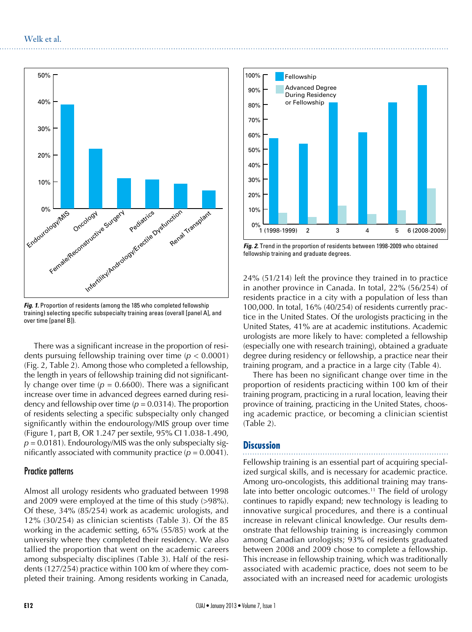

**Fig. 1.** Proportion of residents (among the 185 who completed fellowship training) selecting specific subspecialty training areas (overall [panel A], and over time [panel B]).

There was a significant increase in the proportion of residents pursuing fellowship training over time (*p* < 0.0001) (Fig. 2, Table 2). Among those who completed a fellowship, the length in years of fellowship training did not significantly change over time  $(p = 0.6600)$ . There was a significant increase over time in advanced degrees earned during residency and fellowship over time  $(p = 0.0314)$ . The proportion of residents selecting a specific subspecialty only changed significantly within the endourology/MIS group over time (Figure 1, part B, OR 1.247 per sextile, 95% CI 1.038-1.490,  $p = 0.0181$ ). Endourology/MIS was the only subspecialty significantly associated with community practice  $(p = 0.0041)$ .

#### Practice patterns

Almost all urology residents who graduated between 1998 and 2009 were employed at the time of this study (>98%). Of these, 34% (85/254) work as academic urologists, and 12% (30/254) as clinician scientists (Table 3). Of the 85 working in the academic setting, 65% (55/85) work at the university where they completed their residency. We also tallied the proportion that went on the academic careers among subspecialty disciplines (Table 3). Half of the residents (127/254) practice within 100 km of where they completed their training. Among residents working in Canada,



*Fig. 2.* Trend in the proportion of residents between 1998-2009 who obtained fellowship training and graduate degrees.

24% (51/214) left the province they trained in to practice in another province in Canada. In total, 22% (56/254) of residents practice in a city with a population of less than 100,000. In total, 16% (40/254) of residents currently practice in the United States. Of the urologists practicing in the United States, 41% are at academic institutions. Academic urologists are more likely to have: completed a fellowship (especially one with research training), obtained a graduate degree during residency or fellowship, a practice near their training program, and a practice in a large city (Table 4).

There has been no significant change over time in the proportion of residents practicing within 100 km of their training program, practicing in a rural location, leaving their province of training, practicing in the United States, choosing academic practice, or becoming a clinician scientist (Table 2).

#### **Discussion**

Fellowship training is an essential part of acquiring specialized surgical skills, and is necessary for academic practice. Among uro-oncologists, this additional training may translate into better oncologic outcomes.<sup>11</sup> The field of urology continues to rapidly expand; new technology is leading to innovative surgical procedures, and there is a continual increase in relevant clinical knowledge. Our results demonstrate that fellowship training is increasingly common among Canadian urologists; 93% of residents graduated between 2008 and 2009 chose to complete a fellowship. This increase in fellowship training, which was traditionally associated with academic practice, does not seem to be associated with an increased need for academic urologists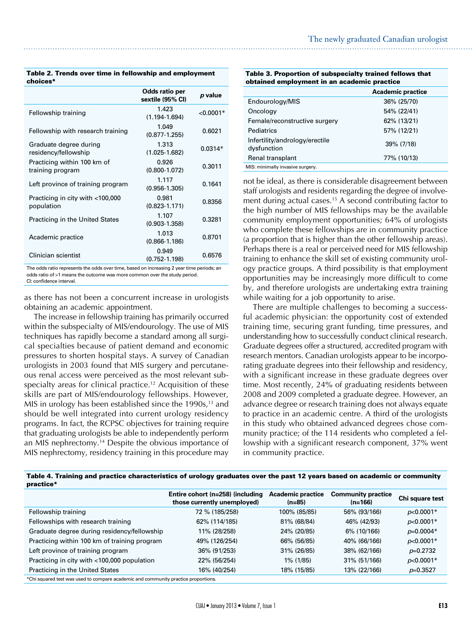|                                                 | Odds ratio per<br>sextile (95% CI) | p value     |
|-------------------------------------------------|------------------------------------|-------------|
| Fellowship training                             | 1.423<br>$(1.194 - 1.694)$         | $< 0.0001*$ |
| Fellowship with research training               | 1.049<br>$(0.877 - 1.255)$         | 0.6021      |
| Graduate degree during<br>residency/fellowship  | 1.313<br>$(1.025 - 1.682)$         | $0.0314*$   |
| Practicing within 100 km of<br>training program | 0.926<br>$(0.800 - 1.072)$         | 0.3011      |
| Left province of training program               | 1.117<br>$(0.956 - 1.305)$         | 0.1641      |
| Practicing in city with <100,000<br>population  | 0.981<br>$(0.823 - 1.171)$         | 0.8356      |
| <b>Practicing in the United States</b>          | 1.107<br>$(0.903 - 1.358)$         | 0.3281      |
| Academic practice                               | 1.013<br>$(0.866 - 1.186)$         | 0.8701      |
| Clinician scientist                             | 0.949<br>$(0.752 - 1.198)$         | 0.6576      |

Table 2. Trends over time in fellowship and employment choices\*

The odds ratio represents the odds over time, based on increasing 2 year time periods; an odds ratio of >1 means the outcome was more common over the study period. CI: confidence interval.

as there has not been a concurrent increase in urologists obtaining an academic appointment.

The increase in fellowship training has primarily occurred within the subspecialty of MIS/endourology. The use of MIS techniques has rapidly become a standard among all surgical specialties because of patient demand and economic pressures to shorten hospital stays. A survey of Canadian urologists in 2003 found that MIS surgery and percutaneous renal access were perceived as the most relevant subspecialty areas for clinical practice.<sup>12</sup> Acquisition of these skills are part of MIS/endourology fellowships. However, MIS in urology has been established since the  $1990s$ ,<sup>13</sup> and should be well integrated into current urology residency programs. In fact, the RCPSC objectives for training require that graduating urologists be able to independently perform an MIS nephrectomy.14 Despite the obvious importance of MIS nephrectomy, residency training in this procedure may

| Table 3. Proportion of subspecialty trained fellows that |  |
|----------------------------------------------------------|--|
| obtained employment in an academic practice              |  |
| Associated and the composition of                        |  |

|                                               | <b>Academic practice</b> |
|-----------------------------------------------|--------------------------|
| Endourology/MIS                               | 36% (25/70)              |
| Oncology                                      | 54% (22/41)              |
| Female/reconstructive surgery                 | 62% (13/21)              |
| Pediatrics                                    | 57% (12/21)              |
| Infertility/andrology/erectile<br>dysfunction | 39% (7/18)               |
| Renal transplant                              | 77% (10/13)              |
| MIS: minimally invasive surgery.              |                          |

not be ideal, as there is considerable disagreement between staff urologists and residents regarding the degree of involvement during actual cases.<sup>15</sup> A second contributing factor to the high number of MIS fellowships may be the available community employment opportunities; 64% of urologists who complete these fellowships are in community practice (a proportion that is higher than the other fellowship areas). Perhaps there is a real or perceived need for MIS fellowship training to enhance the skill set of existing community urology practice groups. A third possibility is that employment opportunities may be increasingly more difficult to come by, and therefore urologists are undertaking extra training while waiting for a job opportunity to arise.

There are multiple challenges to becoming a successful academic physician: the opportunity cost of extended training time, securing grant funding, time pressures, and understanding how to successfully conduct clinical research. Graduate degrees offer a structured, accredited program with research mentors. Canadian urologists appear to be incorporating graduate degrees into their fellowship and residency, with a significant increase in these graduate degrees over time. Most recently, 24% of graduating residents between 2008 and 2009 completed a graduate degree. However, an advance degree or research training does not always equate to practice in an academic centre. A third of the urologists in this study who obtained advanced degrees chose community practice; of the 114 residents who completed a fellowship with a significant research component, 37% went in community practice.

| Table 4. Training and practice characteristics of urology graduates over the past 12 years based on academic or community |
|---------------------------------------------------------------------------------------------------------------------------|
| practice*                                                                                                                 |

|                                                                                      | Entire cohort (n=258) (including<br>those currently unemployed) | <b>Academic practice</b><br>$(n=85)$ | <b>Community practice</b><br>(n=166) | Chi square test |  |  |
|--------------------------------------------------------------------------------------|-----------------------------------------------------------------|--------------------------------------|--------------------------------------|-----------------|--|--|
| Fellowship training                                                                  | 72 % (185/258)                                                  | 100% (85/85)                         | 56% (93/166)                         | $p<0.0001*$     |  |  |
| Fellowships with research training                                                   | 62% (114/185)                                                   | 81% (68/84)                          | 46% (42/93)                          | $p<0.0001*$     |  |  |
| Graduate degree during residency/fellowship                                          | 11% (28/258)                                                    | 24% (20/85)                          | 6% (10/166)                          | $p=0.0004*$     |  |  |
| Practicing within 100 km of training program                                         | 49% (126/254)                                                   | 66% (56/85)                          | 40% (66/166)                         | $p<0.0001*$     |  |  |
| Left province of training program                                                    | 36% (91/253)                                                    | 31% (26/85)                          | 38% (62/166)                         | $p=0.2732$      |  |  |
| Practicing in city with <100,000 population                                          | 22% (56/254)                                                    | 1% (1/85)                            | 31% (51/166)                         | $p<0.0001*$     |  |  |
| Practicing in the United States                                                      | 16% (40/254)                                                    | 18% (15/85)                          | 13% (22/166)                         | $p=0.3527$      |  |  |
| $*$ Chi equared test was used to compare academic and community practice proportions |                                                                 |                                      |                                      |                 |  |  |

\*Chi squared test was used to compare academic and community practice proportions.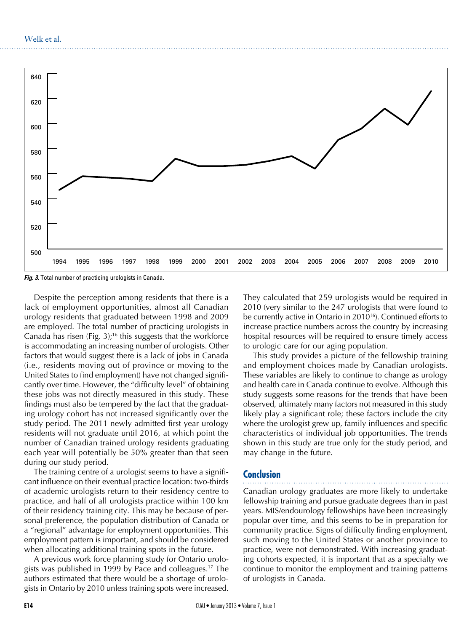

*Fig. 3.* Total number of practicing urologists in Canada.

Despite the perception among residents that there is a lack of employment opportunities, almost all Canadian urology residents that graduated between 1998 and 2009 are employed. The total number of practicing urologists in Canada has risen (Fig. 3);<sup>16</sup> this suggests that the workforce is accommodating an increasing number of urologists. Other factors that would suggest there is a lack of jobs in Canada (i.e., residents moving out of province or moving to the United States to find employment) have not changed significantly over time. However, the "difficulty level" of obtaining these jobs was not directly measured in this study. These findings must also be tempered by the fact that the graduating urology cohort has not increased significantly over the study period. The 2011 newly admitted first year urology residents will not graduate until 2016, at which point the number of Canadian trained urology residents graduating each year will potentially be 50% greater than that seen during our study period.

The training centre of a urologist seems to have a significant influence on their eventual practice location: two-thirds of academic urologists return to their residency centre to practice, and half of all urologists practice within 100 km of their residency training city. This may be because of personal preference, the population distribution of Canada or a "regional" advantage for employment opportunities. This employment pattern is important, and should be considered when allocating additional training spots in the future.

A previous work force planning study for Ontario urologists was published in 1999 by Pace and colleagues.17 The authors estimated that there would be a shortage of urologists in Ontario by 2010 unless training spots were increased.

They calculated that 259 urologists would be required in 2010 (very similar to the 247 urologists that were found to be currently active in Ontario in 2010<sup>16</sup>). Continued efforts to increase practice numbers across the country by increasing hospital resources will be required to ensure timely access to urologic care for our aging population.

This study provides a picture of the fellowship training and employment choices made by Canadian urologists. These variables are likely to continue to change as urology and health care in Canada continue to evolve. Although this study suggests some reasons for the trends that have been observed, ultimately many factors not measured in this study likely play a significant role; these factors include the city where the urologist grew up, family influences and specific characteristics of individual job opportunities. The trends shown in this study are true only for the study period, and may change in the future.

#### **Conclusion**

Canadian urology graduates are more likely to undertake fellowship training and pursue graduate degrees than in past years. MIS/endourology fellowships have been increasingly popular over time, and this seems to be in preparation for community practice. Signs of difficulty finding employment, such moving to the United States or another province to practice, were not demonstrated. With increasing graduating cohorts expected, it is important that as a specialty we continue to monitor the employment and training patterns of urologists in Canada.